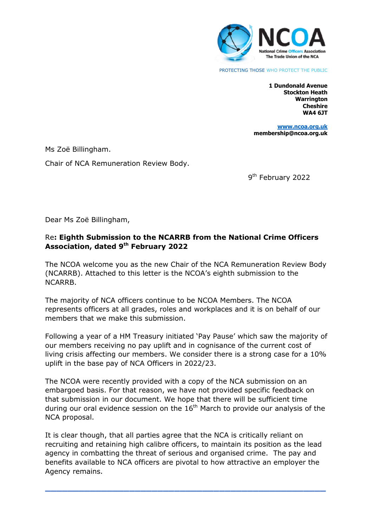

PROTECTING THOSE WHO PROTECT THE PUBLIC

**1 Dundonald Avenue Stockton Heath Warrington Cheshire WA4 6JT**

> **www.ncoa.org.uk membership@ncoa.org.uk**

Ms Zoë Billingham.

Chair of NCA Remuneration Review Body.

9<sup>th</sup> February 2022

Dear Ms Zoë Billingham,

## Re**: Eighth Submission to the NCARRB from the National Crime Officers Association, dated 9 th February 2022**

The NCOA welcome you as the new Chair of the NCA Remuneration Review Body (NCARRB). Attached to this letter is the NCOA's eighth submission to the NCARRB.

The majority of NCA officers continue to be NCOA Members. The NCOA represents officers at all grades, roles and workplaces and it is on behalf of our members that we make this submission.

Following a year of a HM Treasury initiated 'Pay Pause' which saw the majority of our members receiving no pay uplift and in cognisance of the current cost of living crisis affecting our members. We consider there is a strong case for a 10% uplift in the base pay of NCA Officers in 2022/23.

The NCOA were recently provided with a copy of the NCA submission on an embargoed basis. For that reason, we have not provided specific feedback on that submission in our document. We hope that there will be sufficient time during our oral evidence session on the  $16<sup>th</sup>$  March to provide our analysis of the NCA proposal.

It is clear though, that all parties agree that the NCA is critically reliant on recruiting and retaining high calibre officers, to maintain its position as the lead agency in combatting the threat of serious and organised crime. The pay and benefits available to NCA officers are pivotal to how attractive an employer the Agency remains.

**\_\_\_\_\_\_\_\_\_\_\_\_\_\_\_\_\_\_\_\_\_\_\_\_\_\_\_\_\_\_\_\_\_\_\_\_\_\_\_\_\_\_\_\_\_\_\_\_\_\_**